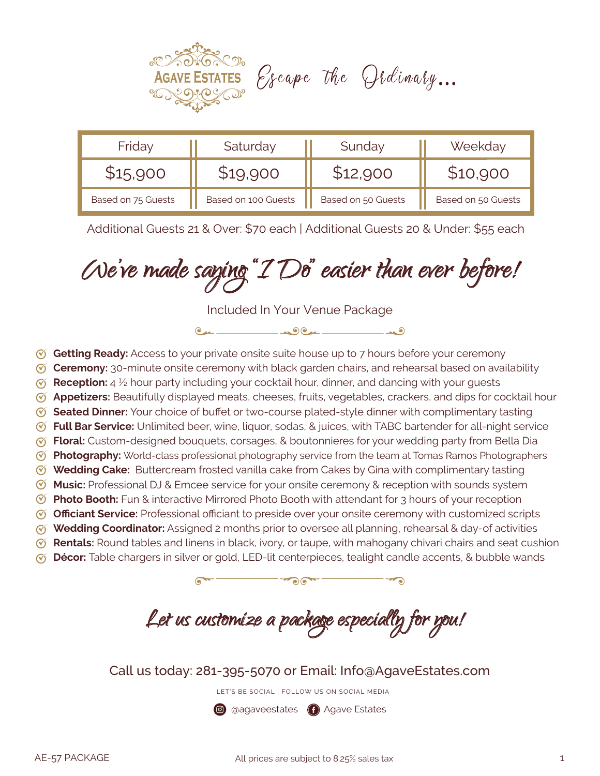

| Friday             | Saturday            | Sunday             | Weekday            |
|--------------------|---------------------|--------------------|--------------------|
| \$15,900           |                     |                    |                    |
| Based on 75 Guests | Based on 100 Guests | Based on 50 Guests | Based on 50 Guests |

Additional Guests 21 & Over: \$70 each | Additional Guests 20 & Under: \$55 each

We've made saying "I Do" easier than ever before!

Included In Your Venue Package

 $0.4 - 0.04 - 0.00$ 

- **Getting Ready:** Access to your private onsite suite house up to 7 hours before your ceremony
- **Ceremony:** 30-minute onsite ceremony with black garden chairs, and rehearsal based on availability
- **Reception:** 4 ½ hour party including your cocktail hour, dinner, and dancing with your guests
- **Appetizers:** Beautifully displayed meats, cheeses, fruits, vegetables, crackers, and dips for cocktail hour
- **Seated Dinner:** Your choice of buffet or two-course plated-style dinner with complimentary tasting
- **Full Bar Service:** Unlimited beer, wine, liquor, sodas, & juices, with TABC bartender for all-night service
- **Floral:** Custom-designed bouquets, corsages, & boutonnieres for your wedding party from Bella Dia
- **Photography:** World-class professional photography service from the team at Tomas Ramos Photographers
- **Wedding Cake:** Buttercream frosted vanilla cake from Cakes by Gina with complimentary tasting
- **Music:** Professional DJ & Emcee service for your onsite ceremony & reception with sounds system
- **Photo Booth:** Fun & interactive Mirrored Photo Booth with attendant for 3 hours of your reception **Officiant Service:** Professional officiant to preside over your onsite ceremony with customized scripts
- **Wedding Coordinator:** Assigned 2 months prior to oversee all planning, rehearsal & day-of activities
- **Rentals:** Round tables and linens in black, ivory, or taupe, with mahogany chivari chairs and seat cushion
- 
- **Décor:** Table chargers in silver or gold, LED-lit centerpieces, tealight candle accents, & bubble wands

 $\overline{\cdot}$ 

Let us customize a package especially for you!

Call us today: 281-395-5070 or Email: Info@AgaveEstates.com

LET'S BE SOCIAL | FOLLOW US ON SOCIAL MEDIA

**@** @agaveestates **@** Agave Estates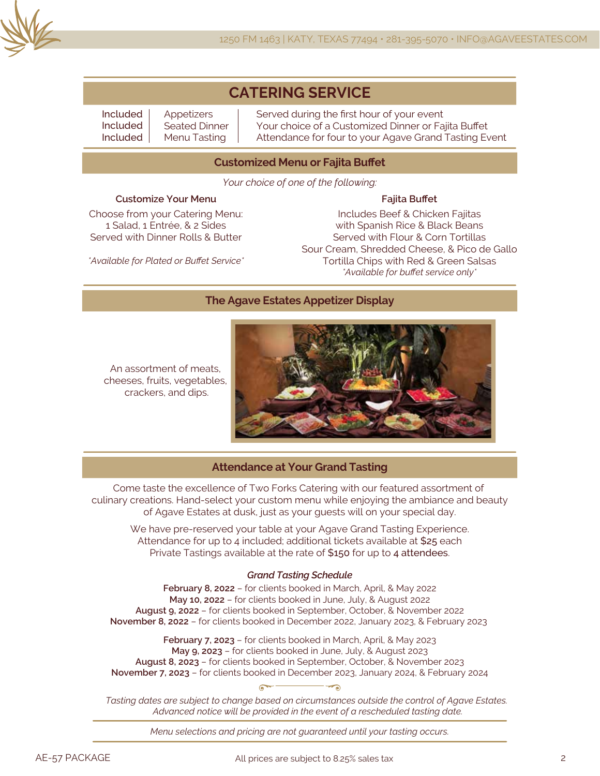

## **CATERING SERVICE**

Included Included Included

Appetizers Seated Dinner Menu Tasting

Served during the first hour of your event Your choice of a Customized Dinner or Fajita Buffet Attendance for four to your Agave Grand Tasting Event

### **Customized Menu or Fajita Buffet**

*Your choice of one of the following:*

### **Customize Your Menu**

Choose from your Catering Menu: 1 Salad, 1 Entrée, & 2 Sides Served with Dinner Rolls & Butter

**Fajita Buffet** Includes Beef & Chicken Fajitas with Spanish Rice & Black Beans Served with Flour & Corn Tortillas Sour Cream, Shredded Cheese, & Pico de Gallo Tortilla Chips with Red & Green Salsas *\*Available for buffet service only\**

*\*Available for Plated or Buffet Service\**

#### **The Agave Estates Appetizer Display**

An assortment of meats, cheeses, fruits, vegetables, crackers, and dips.



#### **Attendance at Your Grand Tasting**

Come taste the excellence of Two Forks Catering with our featured assortment of culinary creations. Hand-select your custom menu while enjoying the ambiance and beauty of Agave Estates at dusk, just as your guests will on your special day.

We have pre-reserved your table at your Agave Grand Tasting Experience. Attendance for up to 4 included; additional tickets available at \$25 each Private Tastings available at the rate of \$150 for up to 4 attendees.

#### *Grand Tasting Schedule*

**February 8, 2022** – for clients booked in March, April, & May 2022 **May 10, 2022** – for clients booked in June, July, & August 2022 **August 9, 2022** – for clients booked in September, October, & November 2022 **November 8, 2022** – for clients booked in December 2022, January 2023, & February 2023

**February 7, 2023** – for clients booked in March, April, & May 2023 **May 9, 2023** – for clients booked in June, July, & August 2023 **August 8, 2023** – for clients booked in September, October, & November 2023 **November 7, 2023** – for clients booked in December 2023, January 2024, & February 2024

*Tasting dates are subject to change based on circumstances outside the control of Agave Estates. Advanced notice will be provided in the event of a rescheduled tasting date.*

*Menu selections and pricing are not guaranteed until your tasting occurs.*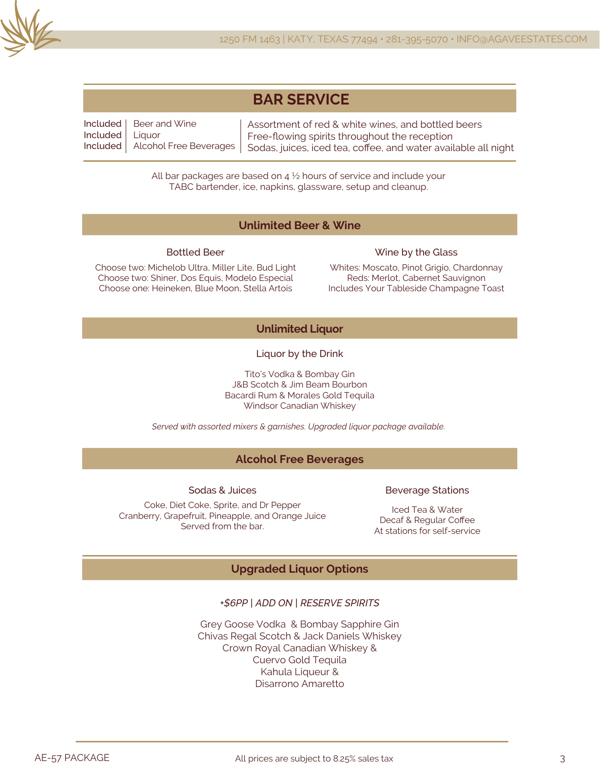

| <b>BAR SERVICE</b> |
|--------------------|
|--------------------|

Included Included Included Alcohol Free Beverages Beer and Wine **Liquor** Assortment of red & white wines, and bottled beers Free-flowing spirits throughout the reception Sodas, juices, iced tea, coffee, and water available all night

> All bar packages are based on  $4\frac{1}{2}$  hours of service and include your TABC bartender, ice, napkins, glassware, setup and cleanup.

### **Unlimited Beer & Wine**

#### Bottled Beer

Choose two: Michelob Ultra, Miller Lite, Bud Light Choose two: Shiner, Dos Equis, Modelo Especial Choose one: Heineken, Blue Moon, Stella Artois

#### Wine by the Glass

Whites: Moscato, Pinot Grigio, Chardonnay Reds: Merlot, Cabernet Sauvignon Includes Your Tableside Champagne Toast

## **Unlimited Liquor**

Liquor by the Drink

Tito's Vodka & Bombay Gin J&B Scotch & Jim Beam Bourbon Bacardi Rum & Morales Gold Tequila Windsor Canadian Whiskey

*Served with assorted mixers & garnishes. Upgraded liquor package available.*

## **Alcohol Free Beverages**

Sodas & Juices

#### Coke, Diet Coke, Sprite, and Dr Pepper Cranberry, Grapefruit, Pineapple, and Orange Juice Served from the bar.

#### Beverage Stations

Iced Tea & Water Decaf & Regular Coffee At stations for self-service

## **Upgraded Liquor Options**

### *+\$6PP | ADD ON | RESERVE SPIRITS*

Grey Goose Vodka & Bombay Sapphire Gin Chivas Regal Scotch & Jack Daniels Whiskey Crown Royal Canadian Whiskey & Cuervo Gold Tequila Kahula Liqueur & Disarrono Amaretto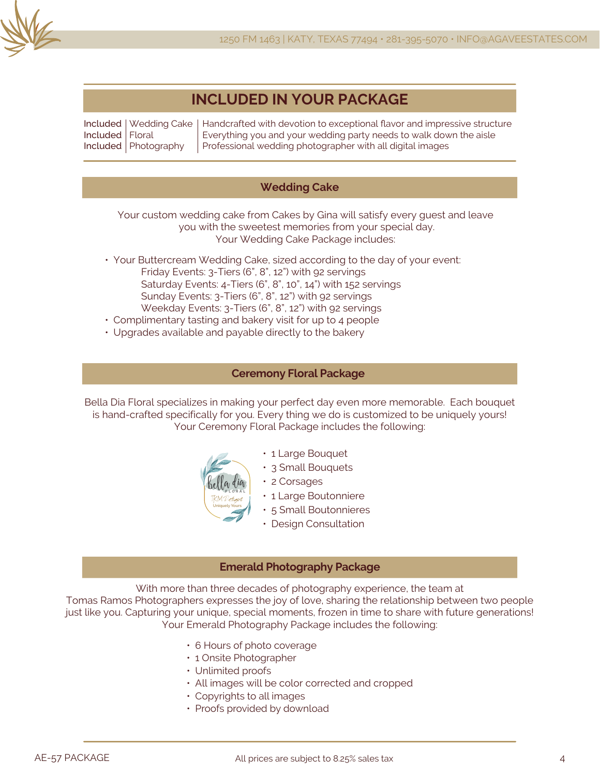

## **INCLUDED IN YOUR PACKAGE**

Included Wedding Cake Included Included Photography Floral Handcrafted with devotion to exceptional flavor and impressive structure Everything you and your wedding party needs to walk down the aisle Professional wedding photographer with all digital images

## **Wedding Cake**

Your custom wedding cake from Cakes by Gina will satisfy every guest and leave you with the sweetest memories from your special day. Your Wedding Cake Package includes:

- Your Buttercream Wedding Cake, sized according to the day of your event: Friday Events: 3-Tiers (6", 8", 12") with 92 servings Saturday Events: 4-Tiers (6", 8", 10", 14") with 152 servings Sunday Events: 3-Tiers (6", 8", 12") with 92 servings Weekday Events: 3-Tiers (6", 8", 12") with 92 servings
- Complimentary tasting and bakery visit for up to 4 people
- Upgrades available and payable directly to the bakery

#### **Ceremony Floral Package**

Bella Dia Floral specializes in making your perfect day even more memorable. Each bouquet is hand-crafted specifically for you. Every thing we do is customized to be uniquely yours! Your Ceremony Floral Package includes the following:



- 1 Large Bouquet
- 3 Small Bouquets
- 2 Corsages
	- 1 Large Boutonniere
	- 5 Small Boutonnieres
	- Design Consultation

#### **Emerald Photography Package**

With more than three decades of photography experience, the team at

Tomas Ramos Photographers expresses the joy of love, sharing the relationship between two people just like you. Capturing your unique, special moments, frozen in time to share with future generations! Your Emerald Photography Package includes the following:

- 6 Hours of photo coverage
- 1 Onsite Photographer
- Unlimited proofs
- All images will be color corrected and cropped
- Copyrights to all images
- Proofs provided by download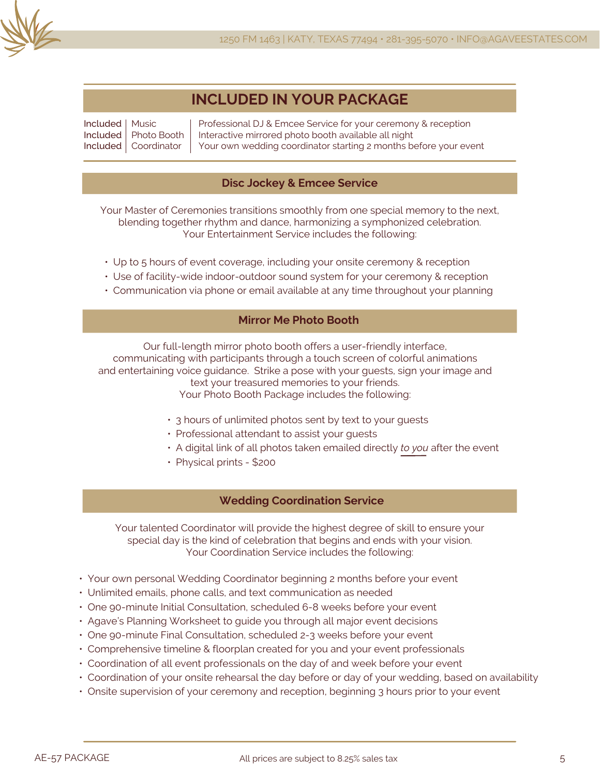

## **INCLUDED IN YOUR PACKAGE**

Included Music Included Included Coordinator Photo Booth Professional DJ & Emcee Service for your ceremony & reception Interactive mirrored photo booth available all night Your own wedding coordinator starting 2 months before your event

## **Disc Jockey & Emcee Service**

Your Master of Ceremonies transitions smoothly from one special memory to the next, blending together rhythm and dance, harmonizing a symphonized celebration. Your Entertainment Service includes the following:

- Up to 5 hours of event coverage, including your onsite ceremony & reception
- Use of facility-wide indoor-outdoor sound system for your ceremony & reception
- Communication via phone or email available at any time throughout your planning

## **Mirror Me Photo Booth**

Our full-length mirror photo booth offers a user-friendly interface, communicating with participants through a touch screen of colorful animations and entertaining voice guidance. Strike a pose with your guests, sign your image and text your treasured memories to your friends. Your Photo Booth Package includes the following:

- 3 hours of unlimited photos sent by text to your guests
- Professional attendant to assist your guests
- A digital link of all photos taken emailed directly *to you* after the event
- Physical prints \$200

## **Wedding Coordination Service**

Your talented Coordinator will provide the highest degree of skill to ensure your special day is the kind of celebration that begins and ends with your vision. Your Coordination Service includes the following:

- Your own personal Wedding Coordinator beginning 2 months before your event
- Unlimited emails, phone calls, and text communication as needed
- One 90-minute Initial Consultation, scheduled 6-8 weeks before your event
- Agave's Planning Worksheet to guide you through all major event decisions
- One 90-minute Final Consultation, scheduled 2-3 weeks before your event
- Comprehensive timeline & floorplan created for you and your event professionals
- Coordination of all event professionals on the day of and week before your event
- Coordination of your onsite rehearsal the day before or day of your wedding, based on availability
- Onsite supervision of your ceremony and reception, beginning 3 hours prior to your event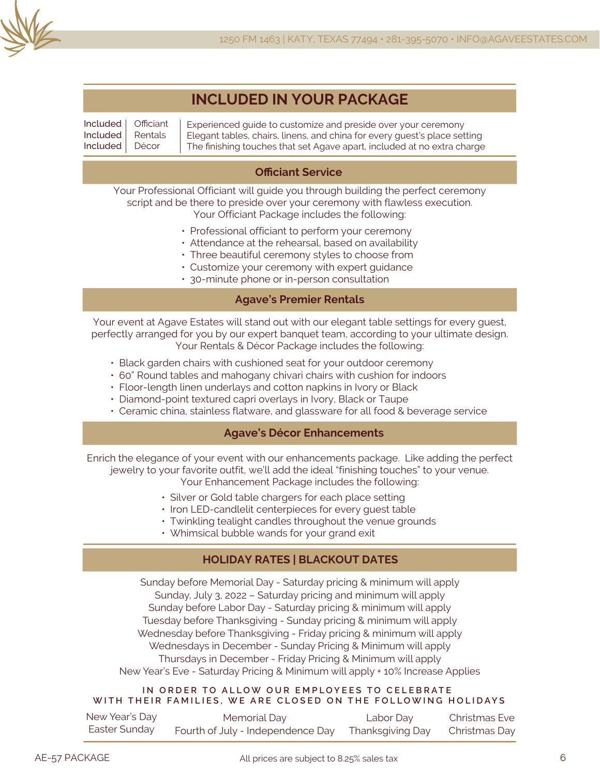

|  | <b>INCLUDED IN YOUR PACKAGE</b> |
|--|---------------------------------|
|--|---------------------------------|

Included Included Included **Officiant** Rentals Décor

Experienced guide to customize and preside over your ceremony Elegant tables, chairs, linens, and china for every guest's place setting The finishing touches that set Agave apart, included at no extra charge

## **Officiant Service**

Your Professional Officiant will guide you through building the perfect ceremony script and be there to preside over your ceremony with flawless execution. Your Officiant Package includes the following:

- Professional officiant to perform your ceremony
- Attendance at the rehearsal, based on availability
- Three beautiful ceremony styles to choose from
- Customize your ceremony with expert guidance
- 30-minute phone or in-person consultation

## **Agave's Premier Rentals**

Your event at Agave Estates will stand out with our elegant table settings for every guest, perfectly arranged for you by our expert banquet team, according to your ultimate design. Your Rentals & Décor Package includes the following:

- Black garden chairs with cushioned seat for your outdoor ceremony
- 60" Round tables and mahogany chivari chairs with cushion for indoors
- Floor-length linen underlays and cotton napkins in Ivory or Black
- Diamond-point textured capri overlays in Ivory, Black or Taupe
- Ceramic china, stainless flatware, and glassware for all food & beverage service

## **Agave's Décor Enhancements**

Enrich the elegance of your event with our enhancements package. Like adding the perfect jewelry to your favorite outfit, we'll add the ideal "finishing touches" to your venue. Your Enhancement Package includes the following:

- Silver or Gold table chargers for each place setting
- Iron LED-candlelit centerpieces for every guest table
- Twinkling tealight candles throughout the venue grounds
- Whimsical bubble wands for your grand exit

## **HOLIDAY RATES | BLACKOUT DATES**

Sunday before Memorial Day - Saturday pricing & minimum will apply Sunday, July 3, 2022 – Saturday pricing and minimum will apply Sunday before Labor Day - Saturday pricing & minimum will apply Tuesday before Thanksgiving - Sunday pricing & minimum will apply Wednesday before Thanksgiving - Friday pricing & minimum will apply Wednesdays in December - Sunday Pricing & Minimum will apply Thursdays in December - Friday Pricing & Minimum will apply New Year's Eve - Saturday Pricing & Minimum will apply + 10% Increase Applies

#### **IN ORDER TO ALLOW OUR EMPLOYEES TO CELEBRATE WITH THEIR FAMILIES, WE ARE CLOSED ON THE FOLLOWING HOLIDAYS**

| New Year's Day | Memorial Day                                       | Labor Day | Christmas Eve |
|----------------|----------------------------------------------------|-----------|---------------|
| Easter Sunday  | Fourth of July - Independence Day Thanksgiving Day |           | Christmas Day |